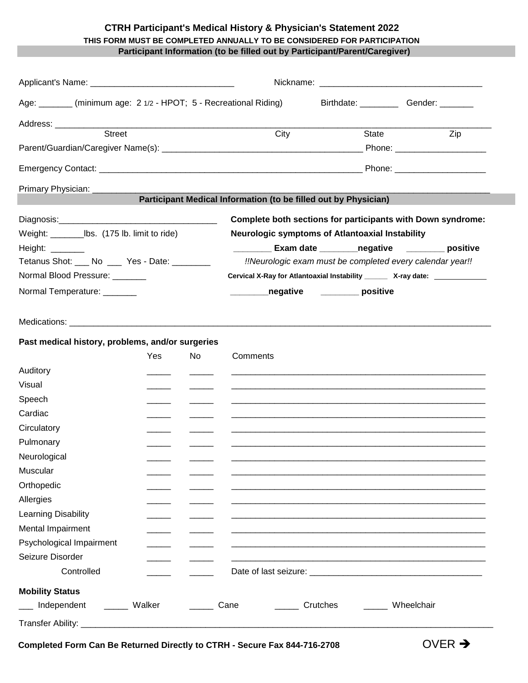## **CTRH Participant's Medical History & Physician's Statement 2022 THIS FORM MUST BE COMPLETED ANNUALLY TO BE CONSIDERED FOR PARTICIPATION Participant Information (to be filled out by Participant/Parent/Caregiver)**

|                                                                                                                                                                                                                                |     |     | Nickname: Nickname: All and the state of the state of the state of the state of the state of the state of the state of the state of the state of the state of the state of the state of the state of the state of the state of |                                                 |                                |  |
|--------------------------------------------------------------------------------------------------------------------------------------------------------------------------------------------------------------------------------|-----|-----|--------------------------------------------------------------------------------------------------------------------------------------------------------------------------------------------------------------------------------|-------------------------------------------------|--------------------------------|--|
| Age: _______ (minimum age: 2 1/2 - HPOT; 5 - Recreational Riding)                                                                                                                                                              |     |     |                                                                                                                                                                                                                                |                                                 | Birthdate: Gender:             |  |
| Address: ____________                                                                                                                                                                                                          |     |     |                                                                                                                                                                                                                                |                                                 |                                |  |
| <b>Street</b>                                                                                                                                                                                                                  |     |     | City                                                                                                                                                                                                                           | State                                           | Zip                            |  |
|                                                                                                                                                                                                                                |     |     |                                                                                                                                                                                                                                |                                                 | Phone: _______________________ |  |
|                                                                                                                                                                                                                                |     |     |                                                                                                                                                                                                                                |                                                 | Phone: _______________________ |  |
| Primary Physician: _                                                                                                                                                                                                           |     |     |                                                                                                                                                                                                                                |                                                 |                                |  |
|                                                                                                                                                                                                                                |     |     | Participant Medical Information (to be filled out by Physician)                                                                                                                                                                |                                                 |                                |  |
|                                                                                                                                                                                                                                |     |     | Complete both sections for participants with Down syndrome:                                                                                                                                                                    |                                                 |                                |  |
| Weight: ___________________________ lbs. (175 lb. limit to ride)                                                                                                                                                               |     |     |                                                                                                                                                                                                                                | Neurologic symptoms of Atlantoaxial Instability |                                |  |
| Height: $\frac{1}{2}$                                                                                                                                                                                                          |     |     |                                                                                                                                                                                                                                |                                                 | Exam date megative positive    |  |
| Tetanus Shot: ___ No ___ Yes - Date: ________                                                                                                                                                                                  |     |     | !!Neurologic exam must be completed every calendar year!!                                                                                                                                                                      |                                                 |                                |  |
| Normal Blood Pressure: ________                                                                                                                                                                                                |     |     | Cervical X-Ray for Atlantoaxial Instability ________ X-ray date: _______________                                                                                                                                               |                                                 |                                |  |
| Normal Temperature: _______                                                                                                                                                                                                    |     |     |                                                                                                                                                                                                                                | _negative ________ positive                     |                                |  |
| Medications: We are a series of the series of the series of the series of the series of the series of the series of the series of the series of the series of the series of the series of the series of the series of the seri |     |     |                                                                                                                                                                                                                                |                                                 |                                |  |
| Past medical history, problems, and/or surgeries                                                                                                                                                                               |     |     |                                                                                                                                                                                                                                |                                                 |                                |  |
|                                                                                                                                                                                                                                | Yes | No. | Comments                                                                                                                                                                                                                       |                                                 |                                |  |
| Auditory                                                                                                                                                                                                                       |     |     |                                                                                                                                                                                                                                |                                                 |                                |  |
| Visual                                                                                                                                                                                                                         |     |     |                                                                                                                                                                                                                                |                                                 |                                |  |
| Speech                                                                                                                                                                                                                         |     |     |                                                                                                                                                                                                                                |                                                 |                                |  |
| Cardiac                                                                                                                                                                                                                        |     |     |                                                                                                                                                                                                                                |                                                 |                                |  |
| Circulatory                                                                                                                                                                                                                    |     |     |                                                                                                                                                                                                                                |                                                 |                                |  |
| Pulmonary                                                                                                                                                                                                                      |     |     |                                                                                                                                                                                                                                |                                                 |                                |  |
| Neurological                                                                                                                                                                                                                   |     |     |                                                                                                                                                                                                                                |                                                 |                                |  |
| Muscular                                                                                                                                                                                                                       |     |     |                                                                                                                                                                                                                                |                                                 |                                |  |
| Orthopedic                                                                                                                                                                                                                     |     |     |                                                                                                                                                                                                                                |                                                 |                                |  |
| Allergies                                                                                                                                                                                                                      |     |     |                                                                                                                                                                                                                                |                                                 |                                |  |
| Learning Disability                                                                                                                                                                                                            |     |     |                                                                                                                                                                                                                                |                                                 |                                |  |
| Mental Impairment                                                                                                                                                                                                              |     |     |                                                                                                                                                                                                                                |                                                 |                                |  |
| Psychological Impairment                                                                                                                                                                                                       |     |     |                                                                                                                                                                                                                                |                                                 |                                |  |
| Seizure Disorder                                                                                                                                                                                                               |     |     |                                                                                                                                                                                                                                |                                                 |                                |  |
| Controlled                                                                                                                                                                                                                     |     |     |                                                                                                                                                                                                                                |                                                 |                                |  |
| <b>Mobility Status</b>                                                                                                                                                                                                         |     |     |                                                                                                                                                                                                                                |                                                 |                                |  |
| Independent<br>______ Walker                                                                                                                                                                                                   |     |     | Cane                                                                                                                                                                                                                           | Crutches                                        | Wheelchair                     |  |
|                                                                                                                                                                                                                                |     |     |                                                                                                                                                                                                                                |                                                 |                                |  |